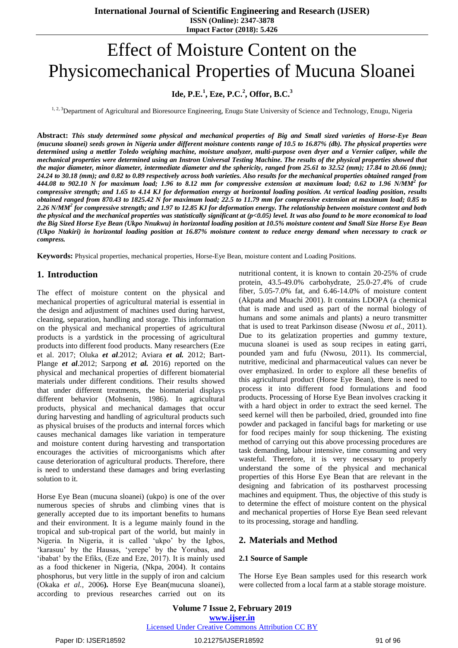# Effect of Moisture Content on the Physicomechanical Properties of Mucuna Sloanei

# **Ide, P.E.<sup>1</sup> , Eze, P.C.<sup>2</sup> , Offor, B.C.<sup>3</sup>**

<sup>1, 2, 3</sup>Department of Agricultural and Bioresource Engineering, Enugu State University of Science and Technology, Enugu, Nigeria

**Abstract:** *This study determined some physical and mechanical properties of Big and Small sized varieties of Horse-Eye Bean (mucuna sloanei) seeds grown in Nigeria under different moisture contents range of 10.5 to 16.87% (db). The physical properties were determined using a mettler Toledo weighing machine, moisture analyzer, multi-purpose oven dryer and a Vernier caliper, while the mechanical properties were determined using an Instron Universal Testing Machine. The results of the physical properties showed that the major diameter, minor diameter, intermediate diameter and the sphericity, ranged from 25.61 to 32.52 (mm); 17.84 to 20.66 (mm); 24.24 to 30.18 (mm); and 0.82 to 0.89 respectively across both varieties. Also results for the mechanical properties obtained ranged from 444.08 to 902.10 N for maximum load; 1.96 to 8.12 mm for compressive extension at maximum load; 0.62 to 1.96 N/MM<sup>2</sup>for compressive strength; and 1.65 to 4.14 KJ for deformation energy at horizontal loading position. At vertical loading position, results obtained ranged from 870.43 to 1825.42 N for maximum load; 22.5 to 11.79 mm for compressive extension at maximum load; 0.85 to 2.26 N/MM<sup>2</sup> for compressive strength; and 1.97 to 12.85 KJ for deformation energy. The relationship between moisture content and both the physical and the mechanical properties was statistically significant at (p<0.05) level. It was also found to be more economical to load the Big Sized Horse Eye Bean (Ukpo Nnukwu) in horizontal loading position at 10.5% moisture content and Small Size Horse Eye Bean (Ukpo Ntakiri) in horizontal loading position at 16.87% moisture content to reduce energy demand when necessary to crack or compress.*

**Keywords:** Physical properties, mechanical properties, Horse-Eye Bean, moisture content and Loading Positions.

# **1. Introduction**

The effect of moisture content on the physical and mechanical properties of agricultural material is essential in the design and adjustment of machines used during harvest, cleaning, separation, handling and storage. This information on the physical and mechanical properties of agricultural products is a yardstick in the processing of agricultural products into different food products. Many researchers (Eze et al. 2017; Oluka *et al*.2012; Aviara *et al.* 2012; Bart-Plange *et al*.2012; Sarpong *et al.* 2016) reported on the physical and mechanical properties of different biomaterial materials under different conditions. Their results showed that under different treatments, the biomaterial displays different behavior (Mohsenin, 1986). In agricultural products, physical and mechanical damages that occur during harvesting and handling of agricultural products such as physical bruises of the products and internal forces which causes mechanical damages like variation in temperature and moisture content during harvesting and transportation encourages the activities of microorganisms which after cause deterioration of agricultural products. Therefore, there is need to understand these damages and bring everlasting solution to it.

Horse Eye Bean (mucuna sloanei) (ukpo) is one of the over numerous species of shrubs and climbing vines that is generally accepted due to its important benefits to humans and their environment. It is a legume mainly found in the tropical and sub-tropical part of the world, but mainly in Nigeria. In Nigeria, it is called "ukpo" by the Igbos, 'karasuu' by the Hausas, 'yerepe' by the Yorubas, and 'ibabat' by the Efiks, (Eze and Eze, 2017). It is mainly used as a food thickener in Nigeria, (Nkpa, 2004). It contains phosphorus, but very little in the supply of iron and calcium (Okaka *et al.,* 2006**).** Horse Eye Bean(mucuna sloanei), according to previous researches carried out on its

nutritional content, it is known to contain 20-25% of crude protein, 43.5-49.0% carbohydrate, 25.0-27.4% of crude fiber, 5.05-7.0% fat, and 6.46-14.0% of moisture content (Akpata and Muachi 2001). It contains LDOPA (a chemical that is made and used as part of the normal biology of humans and some animals and plants) a neuro transmitter that is used to treat Parkinson disease (Nwosu *et al.,* 2011). Due to its gelatization properties and gummy texture, mucuna sloanei is used as soup recipes in eating garri, pounded yam and fufu (Nwosu, 2011). Its commercial, nutritive, medicinal and pharmaceutical values can never be over emphasized. In order to explore all these benefits of this agricultural product (Horse Eye Bean), there is need to process it into different food formulations and food products. Processing of Horse Eye Bean involves cracking it with a hard object in order to extract the seed kernel. The seed kernel will then be parboiled, dried, grounded into fine powder and packaged in fanciful bags for marketing or use for food recipes mainly for soup thickening. The existing method of carrying out this above processing procedures are task demanding, labour intensive, time consuming and very wasteful. Therefore, it is very necessary to properly understand the some of the physical and mechanical properties of this Horse Eye Bean that are relevant in the designing and fabrication of its postharvest processing machines and equipment. Thus, the objective of this study is to determine the effect of moisture content on the physical and mechanical properties of Horse Eye Bean seed relevant to its processing, storage and handling.

# **2. Materials and Method**

#### **2.1 Source of Sample**

The Horse Eye Bean samples used for this research work were collected from a local farm at a stable storage moisture.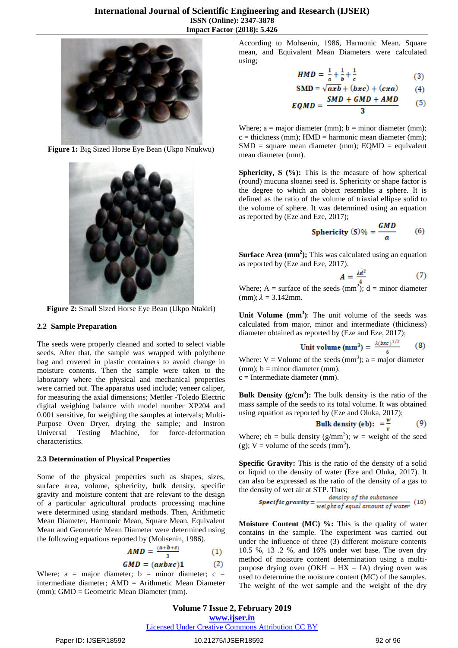

**Figure 1:** Big Sized Horse Eye Bean (Ukpo Nnukwu)



**Figure 2:** Small Sized Horse Eye Bean (Ukpo Ntakiri)

#### **2.2 Sample Preparation**

The seeds were properly cleaned and sorted to select viable seeds. After that, the sample was wrapped with polythene bag and covered in plastic containers to avoid change in moisture contents. Then the sample were taken to the laboratory where the physical and mechanical properties were carried out. The apparatus used include; veneer caliper, for measuring the axial dimensions; Mettler -Toledo Electric digital weighing balance with model number XP204 and 0.001 sensitive, for weighing the samples at intervals; Multi-Purpose Oven Dryer, drying the sample; and Instron Universal Testing Machine, for force-deformation characteristics.

#### **2.3 Determination of Physical Properties**

Some of the physical properties such as shapes, sizes, surface area, volume, sphericity, bulk density, specific gravity and moisture content that are relevant to the design of a particular agricultural products processing machine were determined using standard methods. Then, Arithmetic Mean Diameter, Harmonic Mean, Square Mean, Equivalent Mean and Geometric Mean Diameter were determined using the following equations reported by (Mohsenin, 1986).

$$
AMD = \frac{(a+b+c)}{3} \tag{1}
$$

$$
GMD = (axbxc)1 \qquad (2)
$$

Where;  $a = \text{major diameter}$ ;  $b = \text{minor diameter}$ ;  $c =$ intermediate diameter; AMD = Arithmetic Mean Diameter (mm); GMD = Geometric Mean Diameter (mm).

According to Mohsenin, 1986, Harmonic Mean, Square mean, and Equivalent Mean Diameters were calculated using;

$$
HMD = \frac{1}{a} + \frac{1}{b} + \frac{1}{c}
$$
 (3)

$$
SMD = \sqrt{axb} + (bxc) + (cxa)
$$
 (4)

$$
EQMD = \frac{SMD + GMD + AMD}{2}
$$
 (5)

Where;  $a = major diameter (mm)$ ;  $b = minor diameter (mm)$ ;  $c =$  thickness (mm); HMD = harmonic mean diameter (mm);  $SMD = square$  mean diameter (mm);  $EQMD = equivalent$ mean diameter (mm).

**Sphericity, S** (%): This is the measure of how spherical (round) mucuna sloanei seed is. Sphericity or shape factor is the degree to which an object resembles a sphere. It is defined as the ratio of the volume of triaxial ellipse solid to the volume of sphere. It was determined using an equation as reported by (Eze and Eze, 2017);

$$
Sphericity (S)\% = \frac{GMD}{a} \qquad (6)
$$

**Surface Area (mm<sup>2</sup>);** This was calculated using an equation as reported by (Eze and Eze, 2017).

$$
=\frac{\lambda d^2}{4} \tag{7}
$$

Where; A = surface of the seeds  $(mm<sup>2</sup>)$ ; d = minor diameter (mm);  $\lambda = 3.142$ mm.

А

**Unit Volume (mm<sup>3</sup> )**: The unit volume of the seeds was calculated from major, minor and intermediate (thickness) diameter obtained as reported by (Eze and Eze, 2017);

Unit volume (mm<sup>3</sup>) = 
$$
\frac{\lambda(bxc)^{1/3}}{6}
$$
 (8)

Where:  $V =$  Volume of the seeds (mm<sup>3</sup>); a = major diameter  $(mm)$ ;  $b = minor diameter (mm)$ , c = Intermediate diameter (mm).

**Bulk Density (g/cm<sup>3</sup> ):** The bulk density is the ratio of the mass sample of the seeds to its total volume. It was obtained using equation as reported by (Eze and Oluka, 2017);

Bulk density (eb): 
$$
=\frac{w}{x}
$$
 (9)

Where;  $eb = bulk density (g/mm<sup>3</sup>)$ ; w = weight of the seed (g);  $V =$  volume of the seeds (mm<sup>3</sup>).

**Specific Gravity:** This is the ratio of the density of a solid or liquid to the density of water (Eze and Oluka, 2017). It can also be expressed as the ratio of the density of a gas to the density of wet air at STP. Thus;

$$
Specific\ gravity = \frac{density\ of\ the\ substance}{weight\ of\ equal\ amount\ of\ water} \ (10)
$$

**Moisture Content (MC) %:** This is the quality of water contains in the sample. The experiment was carried out under the influence of three (3) different moisture contents 10.5 %, 13 .2 %, and 16% under wet base. The oven dry method of moisture content determination using a multipurpose drying oven (OKH – HX – IA) drying oven was used to determine the moisture content (MC) of the samples. The weight of the wet sample and the weight of the dry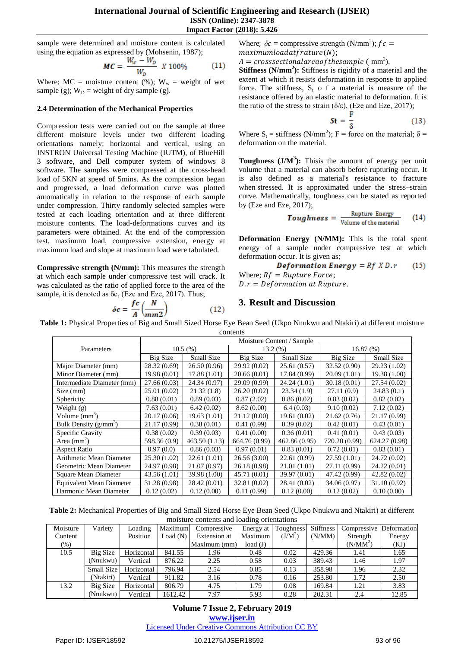#### **International Journal of Scientific Engineering and Research (IJSER) ISSN (Online): 2347-3878 Impact Factor (2018): 5.426**

sample were determined and moisture content is calculated using the equation as expressed by (Mohsenin, 1987);

$$
MC = \frac{W_w - W_D}{W_D} \; X \; 100\% \tag{11}
$$

Where;  $MC = \text{moisture content } (\%)$ ;  $W_w = \text{weight of wet}$ sample (g);  $W_D$  = weight of dry sample (g).

#### **2.4 Determination of the Mechanical Properties**

Compression tests were carried out on the sample at three different moisture levels under two different loading orientations namely; horizontal and vertical, using an INSTRON Universal Testing Machine (IUTM), of BlueHill 3 software, and Dell computer system of windows 8 software. The samples were compressed at the cross-head load of 5KN at speed of 5mins. As the compression began and progressed, a load deformation curve was plotted automatically in relation to the response of each sample under compression. Thirty randomly selected samples were tested at each loading orientation and at three different moisture contents. The load-deformations curves and its parameters were obtained. At the end of the compression test, maximum load, compressive extension, energy at maximum load and slope at maximum load were tabulated.

**Compressive strength (N/mm):** This measures the strength at which each sample under compressive test will crack. It was calculated as the ratio of applied force to the area of the sample, it is denoted as δc, (Eze and Eze, 2017). Thus;

$$
\delta c = \frac{fc}{A} \left( \frac{N}{mm2} \right) \tag{12}
$$

Where;  $\delta c$  = compressive strength (N/mm<sup>2</sup>);  $fc$  =  $maximum load at frature(N);$ 

 $A = crosssectional area of the sample ( mm<sup>2</sup>).$ 

**Stiffness (N/mm<sup>2</sup>):** Stiffness is rigidity of a material and the extent at which it resists deformation in response to applied force. The stiffness,  $S_t$  o f a material is measure of the resistance offered by an elastic material to deformation. It is the ratio of the stress to strain ( $\delta/\varepsilon$ ), (Eze and Eze, 2017);

$$
\mathbf{St} = \frac{\mathbf{F}}{\delta} \tag{13}
$$

Where  $S_t =$  stiffness (N/mm<sup>2</sup>); F = force on the material;  $\delta =$ deformation on the material.

**Toughness (J/M<sup>3</sup> ):** Thisis the amount of energy per unit volume that a material can absorb before rupturing occur. It is also defined as a material's resistance to fracture when stressed. It is approximated under the stress–strain curve. Mathematically, toughness can be stated as reported by (Eze and Eze, 2017);

**Toughness** = 
$$
\frac{\text{Rupture Energy}}{\text{Volume of the material}}
$$
 (14)

**Deformation Energy (N/MM):** This is the total spent energy of a sample under compressive test at which deformation occur. It is given as;

**Deformation Energy** = 
$$
Rf \times D.r
$$
 (15)

Where;  $Rf = Rupture Force;$ 

 $D.r = Definition$  at Rupture.

# **3. Result and Discussion**

**Table 1:** Physical Properties of Big and Small Sized Horse Eye Bean Seed (Ukpo Nnukwu and Ntakiri) at different moisture contents

|                                 | Moisture Content / Sample |               |               |               |                      |               |  |  |
|---------------------------------|---------------------------|---------------|---------------|---------------|----------------------|---------------|--|--|
| Parameters                      | 10.5(%)                   |               |               | $13.2\ (%)$   | 16.87 <sub>(%)</sub> |               |  |  |
|                                 | Big Size                  | Small Size    | Big Size      | Small Size    | Big Size             | Small Size    |  |  |
| Major Diameter (mm)             | 28.32 (0.69)              | 26.50(0.96)   | 29.92 (0.02)  | 25.61(0.57)   | 32.52(0.90)          | 29.23 (1.02)  |  |  |
| Minor Diameter (mm)             | 19.98(0.01)               | 17.88 (1.01)  | 20.66 (0.01)  | 17.84 (0.99)  | 20.09(1.01)          | 19.38 (1.00)  |  |  |
| Intermediate Diameter (mm)      | 27.66(0.03)               | 24.34 (0.97)  | 29.09 (0.99)  | 24.24(1.01)   | 30.18(0.01)          | 27.54 (0.02)  |  |  |
| Size (mm)                       | 25.01 (0.02)              | 21.32(1.8)    | 26.20 (0.02)  | 23.34(1.9)    | 27.11 (0.9)          | 24.83(0.1)    |  |  |
| Sphericity                      | 0.88(0.01)                | 0.89(0.03)    | 0.87(2.02)    | 0.86(0.02)    | 0.83(0.02)           | 0.82(0.02)    |  |  |
| Weight $(g)$                    | 7.63(0.01)                | 6.42(0.02)    | 8.62(0.00)    | 6.4(0.03)     | 9.10(0.02)           | 7.12(0.02)    |  |  |
| Volume $(mm3)$                  | 20.17(0.06)               | 19.63(1.01)   | 21.12 (0.00)  | 19.61 (0.02)  | 21.62(0.76)          | 21.17 (0.99)  |  |  |
| Bulk Density $(g/mm^3)$         | 21.17 (0.99)              | 0.38(0.01)    | 0.41(0.99)    | 0.39(0.02)    | 0.42(0.01)           | 0.43(0.01)    |  |  |
| Specific Gravity                | 0.38(0.02)                | 0.39(0.03)    | 0.41(0.00)    | 0.36(0.01)    | 0.41(0.01)           | 0.43(0.03)    |  |  |
| Area $\text{(mm)}^2$            | 598.36 (0.9)              | 463.50 (1.13) | 664.76 (0.99) | 462.86 (0.95) | 720.20 (0.99)        | 624.27 (0.98) |  |  |
| <b>Aspect Ratio</b>             | 0.97(0.0)                 | 0.86(0.03)    | 0.97(0.01)    | 0.83(0.01)    | 0.72(0.01)           | 0.83(0.01)    |  |  |
| Arithmetic Mean Diameter        | 25.30 (1.02)              | 22.61(1.01)   | 26.56(3.00)   | 22.61 (0.99)  | 27.59(1.01)          | 24.72 (0.02)  |  |  |
| Geometric Mean Diameter         | 24.97 (0.98)              | 21.07 (0.97)  | 26.18 (0.98)  | 21.01(1.01)   | 27.11 (0.99)         | 24.22(0.01)   |  |  |
| <b>Square Mean Diameter</b>     | 43.56 (1.01)              | 39.98 (1.00)  | 45.71 (0.01)  | 39.97 (0.01)  | 47.42 (0.99)         | 42.82 (0.02)  |  |  |
| <b>Equivalent Mean Diameter</b> | 31.28 (0.98)              | 28.42 (0.01)  | 32.81 (0.02)  | 28.41 (0.02)  | 34.06 (0.97)         | 31.10 (0.92)  |  |  |
| Harmonic Mean Diameter          | 0.12(0.02)                | 0.12(0.00)    | 0.11(0.99)    | 0.12(0.00)    | 0.12(0.02)           | 0.10(0.00)    |  |  |

**Table 2:** Mechanical Properties of Big and Small Sized Horse Eye Bean Seed (Ukpo Nnukwu and Ntakiri) at different moisture contents and loading orientations

| Moisture | Variety    | Loading    | Maximum    | Compressive  | Energy at | Toughness | <b>Stiffness</b> | Compressive Deformation |        |
|----------|------------|------------|------------|--------------|-----------|-----------|------------------|-------------------------|--------|
| Content  |            | Position   | Load $(N)$ | Extension at | Maximum   | $(J/M^2)$ | (N/MM)           | Strength                | Energy |
| $(\%)$   |            |            |            | Maximum (mm) | load(J)   |           |                  | $(N/MM^2)$              | (KJ)   |
| 10.5     | Big Size   | Horizontal | 841.55     | l.96         | 0.48      | 0.02      | 429.36           | 1.41                    | 1.65   |
|          | (Nnukwu)   | Vertical   | 876.22     | 2.25         | 0.58      | 0.03      | 389.43           | 1.46                    | 1.97   |
|          | Small Size | Horizontal | 796.94     | 2.54         | 0.85      | 0.13      | 358.98           | 1.96                    | 2.32   |
|          | (Ntakiri)  | Vertical   | 911.82     | 3.16         | 0.78      | 0.16      | 253.80           | 1.72                    | 2.50   |
| 13.2     | Big Size   | Horizontal | 806.79     | 4.75         | 1.79      | 0.08      | 169.84           | 1.21                    | 3.83   |
|          | (Nnukwu)   | Vertical   | 1612.42    | 7.97         | 5.93      | 0.28      | 202.31           | 2.4                     | 12.85  |

# **Volume 7 Issue 2, February 2019 www.ijser.in**

Licensed Under Creative Commons Attribution CC BY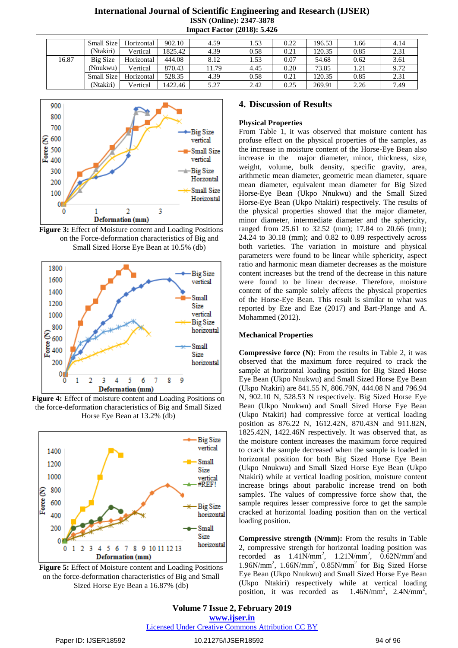# **International Journal of Scientific Engineering and Research (IJSER) ISSN (Online): 2347-3878 Impact Factor (2018): 5.426**

|       | Small Size | Horizontal | 902.10  | 4.59  | 1.53 | 0.22 | 196.53 | .66  | 4.14 |
|-------|------------|------------|---------|-------|------|------|--------|------|------|
|       | (Ntakiri)  | Vertical   | 1825.42 | 4.39  | 0.58 | 0.21 | 120.35 | 0.85 | 2.31 |
| 16.87 | Big Size   | Horizontal | 444.08  | 8.12  | 1.53 | 0.07 | 54.68  | 0.62 | 3.61 |
|       | (Nnukwu)   | Vertical   | 870.43  | 11.79 | 4.45 | 0.20 | 73.85  | 1.21 | 9.72 |
|       | Small Size | Horizontal | 528.35  | 4.39  | 0.58 | 0.21 | 120.35 | 0.85 | 2.31 |
|       | (Ntakiri)  | Vertical   | 1422.46 | 5.27  | 2.42 | 0.25 | 269.91 | 2.26 | 7.49 |



**Figure 3:** Effect of Moisture content and Loading Positions on the Force-deformation characteristics of Big and Small Sized Horse Eye Bean at 10.5% (db)



**Figure 4:** Effect of moisture content and Loading Positions on the force-deformation characteristics of Big and Small Sized Horse Eye Bean at 13.2% (db)



**Figure 5:** Effect of Moisture content and Loading Positions on the force-deformation characteristics of Big and Small Sized Horse Eye Bean a 16.87% (db)

#### **4. Discussion of Results**

#### **Physical Properties**

From Table 1, it was observed that moisture content has profuse effect on the physical properties of the samples, as the increase in moisture content of the Horse-Eye Bean also increase in the major diameter, minor, thickness, size, weight, volume, bulk density, specific gravity, area, arithmetic mean diameter, geometric mean diameter, square mean diameter, equivalent mean diameter for Big Sized Horse-Eye Bean (Ukpo Nnukwu) and the Small Sized Horse-Eye Bean (Ukpo Ntakiri) respectively. The results of the physical properties showed that the major diameter, minor diameter, intermediate diameter and the sphericity, ranged from 25.61 to 32.52 (mm); 17.84 to 20.66 (mm); 24.24 to 30.18 (mm); and 0.82 to 0.89 respectively across both varieties. The variation in moisture and physical parameters were found to be linear while sphericity, aspect ratio and harmonic mean diameter decreases as the moisture content increases but the trend of the decrease in this nature were found to be linear decrease. Therefore, moisture content of the sample solely affects the physical properties of the Horse-Eye Bean. This result is similar to what was reported by Eze and Eze (2017) and Bart-Plange and A. Mohammed (2012).

#### **Mechanical Properties**

**Compressive force (N)**: From the results in Table 2, it was observed that the maximum force required to crack the sample at horizontal loading position for Big Sized Horse Eye Bean (Ukpo Nnukwu) and Small Sized Horse Eye Bean (Ukpo Ntakiri) are 841.55 N, 806.79N, 444.08 N and 796.94 N, 902.10 N, 528.53 N respectively. Big Sized Horse Eye Bean (Ukpo Nnukwu) and Small Sized Horse Eye Bean (Ukpo Ntakiri) had compressive force at vertical loading position as 876.22 N, 1612.42N, 870.43N and 911.82N, 1825.42N, 1422.46N respectively. It was observed that, as the moisture content increases the maximum force required to crack the sample decreased when the sample is loaded in horizontal position for both Big Sized Horse Eye Bean (Ukpo Nnukwu) and Small Sized Horse Eye Bean (Ukpo Ntakiri) while at vertical loading position, moisture content increase brings about parabolic increase trend on both samples. The values of compressive force show that, the sample requires lesser compressive force to get the sample cracked at horizontal loading position than on the vertical loading position.

**Compressive strength (N/mm):** From the results in Table 2, compressive strength for horizontal loading position was recorded as  $1.41$ N/mm<sup>2</sup>,  $1.21$ N/mm<sup>2</sup>,  $0.62$ N/mm<sup>2</sup> and 1.96N/mm<sup>2</sup> , 1.66N/mm<sup>2</sup> , 0.85N/mm<sup>2</sup> for Big Sized Horse Eye Bean (Ukpo Nnukwu) and Small Sized Horse Eye Bean (Ukpo Ntakiri) respectively while at vertical loading position, it was recorded as  $, 2.4N/mm^2,$ 

**Volume 7 Issue 2, February 2019 www.ijser.in** Licensed Under Creative Commons Attribution CC BY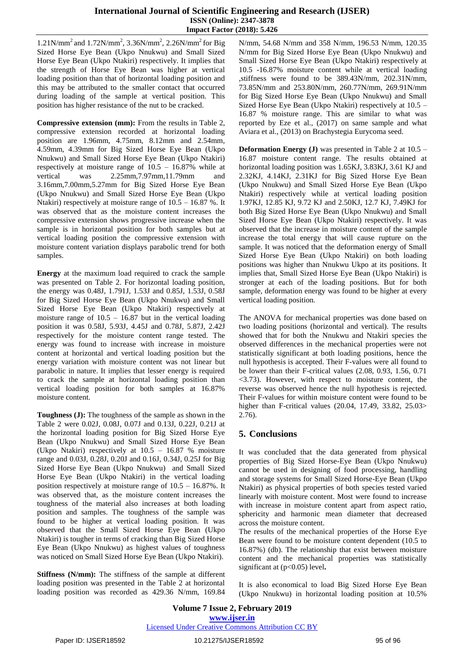### **International Journal of Scientific Engineering and Research (IJSER) ISSN (Online): 2347-3878 Impact Factor (2018): 5.426**

1.21N/mm<sup>2</sup> and 1.72N/mm<sup>2</sup>, 3.36N/mm<sup>2</sup>, 2.26N/mm<sup>2</sup> for Big Sized Horse Eye Bean (Ukpo Nnukwu) and Small Sized Horse Eye Bean (Ukpo Ntakiri) respectively. It implies that the strength of Horse Eye Bean was higher at vertical loading position than that of horizontal loading position and this may be attributed to the smaller contact that occurred during loading of the sample at vertical position. This position has higher resistance of the nut to be cracked.

**Compressive extension (mm):** From the results in Table 2, compressive extension recorded at horizontal loading position are 1.96mm, 4.75mm, 8.12mm and 2.54mm, 4.59mm, 4.39mm for Big Sized Horse Eye Bean (Ukpo Nnukwu) and Small Sized Horse Eye Bean (Ukpo Ntakiri) respectively at moisture range of 10.5 – 16.87% while at vertical was 2.25mm,7.97mm,11.79mm and 3.16mm,7.00mm,5.27mm for Big Sized Horse Eye Bean (Ukpo Nnukwu) and Small Sized Horse Eye Bean (Ukpo Ntakiri) respectively at moisture range of  $10.5 - 16.87$  %. It was observed that as the moisture content increases the compressive extension shows progressive increase when the sample is in horizontal position for both samples but at vertical loading position the compressive extension with moisture content variation displays parabolic trend for both samples.

**Energy** at the maximum load required to crack the sample was presented on Table 2. For horizontal loading position, the energy was 0.48J, 1.791J, 1.53J and 0.85J, 1.53J, 0.58J for Big Sized Horse Eye Bean (Ukpo Nnukwu) and Small Sized Horse Eye Bean (Ukpo Ntakiri) respectively at moisture range of  $10.5 - 16.87$  but in the vertical loading position it was 0.58J, 5.93J, 4.45J and 0.78J, 5.87J, 2.42J respectively for the moisture content range tested. The energy was found to increase with increase in moisture content at horizontal and vertical loading position but the energy variation with moisture content was not linear but parabolic in nature. It implies that lesser energy is required to crack the sample at horizontal loading position than vertical loading position for both samples at 16.87% moisture content.

**Toughness (J):** The toughness of the sample as shown in the Table 2 were 0.02J, 0.08J, 0.07J and 0.13J, 0.22J, 0.21J at the horizontal loading position for Big Sized Horse Eye Bean (Ukpo Nnukwu) and Small Sized Horse Eye Bean (Ukpo Ntakiri) respectively at 10.5 – 16.87 % moisture range and 0.03J, 0.28J, 0.20J and 0.16J, 0.34J, 0.25J for Big Sized Horse Eye Bean (Ukpo Nnukwu) and Small Sized Horse Eye Bean (Ukpo Ntakiri) in the vertical loading position respectively at moisture range of 10.5 – 16.87%. It was observed that, as the moisture content increases the toughness of the material also increases at both loading position and samples. The toughness of the sample was found to be higher at vertical loading position. It was observed that the Small Sized Horse Eye Bean (Ukpo Ntakiri) is tougher in terms of cracking than Big Sized Horse Eye Bean (Ukpo Nnukwu) as highest values of toughness was noticed on Small Sized Horse Eye Bean (Ukpo Ntakiri).

**Stiffness (N/mm):** The stiffness of the sample at different loading position was presented in the Table 2 at horizontal loading position was recorded as 429.36 N/mm, 169.84 N/mm, 54.68 N/mm and 358 N/mm, 196.53 N/mm, 120.35 N/mm for Big Sized Horse Eye Bean (Ukpo Nnukwu) and Small Sized Horse Eye Bean (Ukpo Ntakiri) respectively at 10.5 -16.87% moisture content while at vertical loading ,stiffness were found to be 389.43N/mm, 202.31N/mm, 73.85N/mm and 253.80N/mm, 260.77N/mm, 269.91N/mm for Big Sized Horse Eye Bean (Ukpo Nnukwu) and Small Sized Horse Eye Bean (Ukpo Ntakiri) respectively at 10.5 – 16.87 % moisture range. This are similar to what was reported by Eze et al., (2017) on same sample and what Aviara et al., (2013) on Brachystegia Eurycoma seed.

**Deformation Energy (J)** was presented in Table 2 at 10.5 – 16.87 moisture content range. The results obtained at horizontal loading position was 1.65KJ, 3.83KJ, 3.61 KJ and 2.32KJ, 4.14KJ, 2.31KJ for Big Sized Horse Eye Bean (Ukpo Nnukwu) and Small Sized Horse Eye Bean (Ukpo Ntakiri) respectively while at vertical loading position 1.97KJ, 12.85 KJ, 9.72 KJ and 2.50KJ, 12.7 KJ, 7.49KJ for both Big Sized Horse Eye Bean (Ukpo Nnukwu) and Small Sized Horse Eye Bean (Ukpo Ntakiri) respectively. It was observed that the increase in moisture content of the sample increase the total energy that will cause rupture on the sample. It was noticed that the deformation energy of Small Sized Horse Eye Bean (Ukpo Ntakiri) on both loading positions was higher than Nnukwu Ukpo at its positions. It implies that, Small Sized Horse Eye Bean (Ukpo Ntakiri) is stronger at each of the loading positions. But for both sample, deformation energy was found to be higher at every vertical loading position.

The ANOVA for mechanical properties was done based on two loading positions (horizontal and vertical). The results showed that for both the Nnukwu and Ntakiri species the observed differences in the mechanical properties were not statistically significant at both loading positions, hence the null hypothesis is accepted. Their F-values were all found to be lower than their F-critical values (2.08, 0.93, 1.56, 0.71 <3.73). However, with respect to moisture content, the reverse was observed hence the null hypothesis is rejected. Their F-values for within moisture content were found to be higher than F-critical values (20.04, 17.49, 33.82, 25.03> 2.76).

# **5. Conclusions**

It was concluded that the data generated from physical properties of Big Sized Horse-Eye Bean (Ukpo Nnukwu) cannot be used in designing of food processing, handling and storage systems for Small Sized Horse-Eye Bean (Ukpo Ntakiri) as physical properties of both species tested varied linearly with moisture content. Most were found to increase with increase in moisture content apart from aspect ratio, sphericity and harmonic mean diameter that decreased across the moisture content.

The results of the mechanical properties of the Horse Eye Bean were found to be moisture content dependent (10.5 to 16.87%) (db). The relationship that exist between moisture content and the mechanical properties was statistically significant at (p<0.05) level**.**

It is also economical to load Big Sized Horse Eye Bean (Ukpo Nnukwu) in horizontal loading position at 10.5%